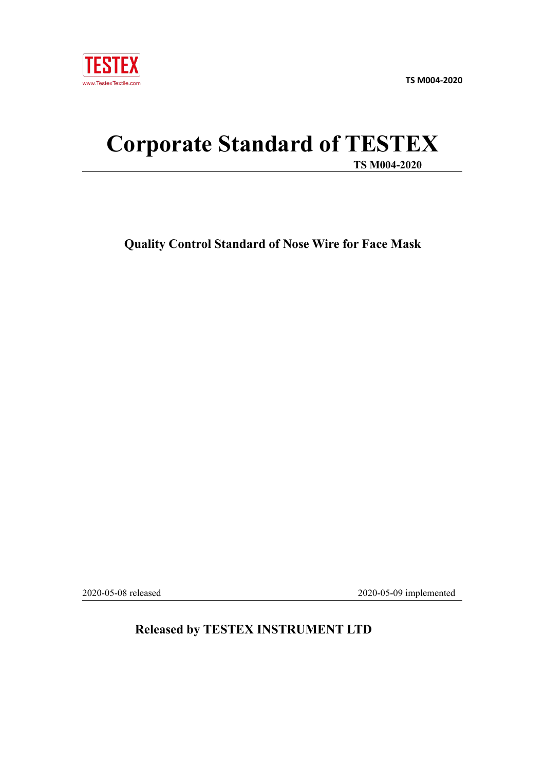

**TS M004-2020**

# **Corporate Standard of TESTEX TS M004-2020**

**Quality Control Standard of Nose Wire for Face Mask**

2020-05-08 released 2020-05-09 implemented

# **Released by TESTEX INSTRUMENT LTD**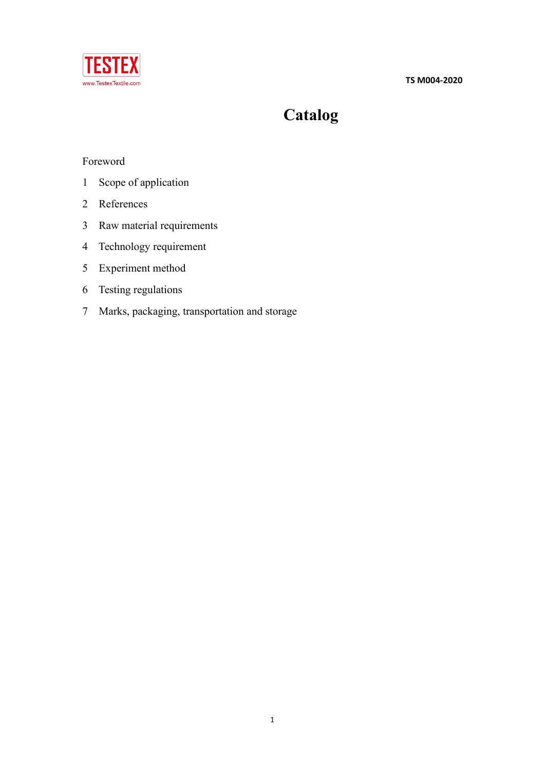**TS M004-2020**



# **Catalog**

# Foreword

- Scope of application
- References
- Raw material requirements
- Technology requirement
- Experiment method
- Testing regulations
- Marks, packaging, transportation and storage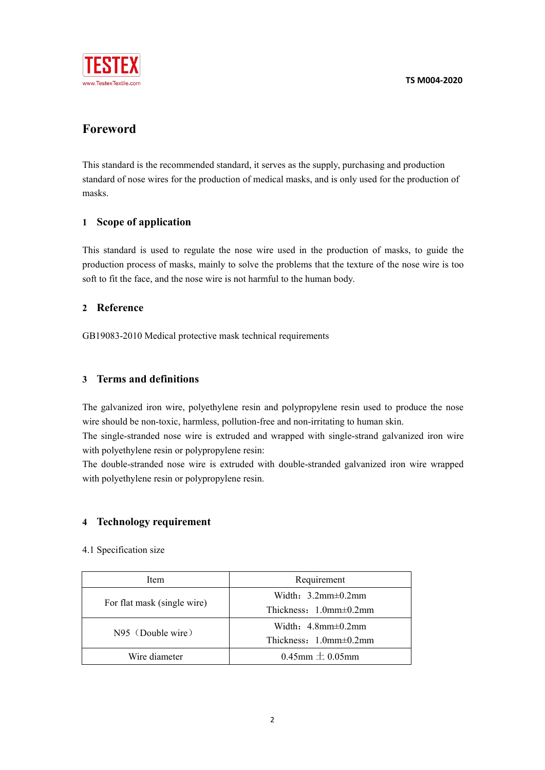

# **Foreword**

This standard is the recommended standard, it serves as the supply, purchasing and production standard of nose wires for the production of medical masks, and is only used for the production of masks.

# **1 Scope of application**

This standard is used to regulate the nose wire used in the production of masks, to guide the production process of masks, mainly to solve the problems that the texture of the nose wire is too soft to fit the face, and the nose wire is not harmful to the human body.

## **2 Reference**

GB19083-2010 Medical protective mask technical requirements

# **3 Terms and definitions**

The galvanized iron wire, polyethylene resin and polypropylene resin used to produce the nose wire should be non-toxic, harmless, pollution-free and non-irritating to human skin.

The single-stranded nose wire is extruded and wrapped with single-strand galvanized iron wire with polyethylene resin or polypropylene resin:

The double-stranded nose wire is extruded with double-stranded galvanized iron wire wrapped with polyethylene resin or polypropylene resin.

## **4 Technology requirement**

4.1 Specification size

| Item                        | Requirement                      |  |
|-----------------------------|----------------------------------|--|
| For flat mask (single wire) | Width: $3.2$ mm $\pm$ 0.2mm      |  |
|                             | Thickness: $1.0$ mm $\pm 0.2$ mm |  |
| $N95$ (Double wire)         | Width: $4.8$ mm $\pm$ 0.2mm      |  |
|                             | Thickness: $1.0$ mm $\pm 0.2$ mm |  |
| Wire diameter               | $0.45$ mm $\pm 0.05$ mm          |  |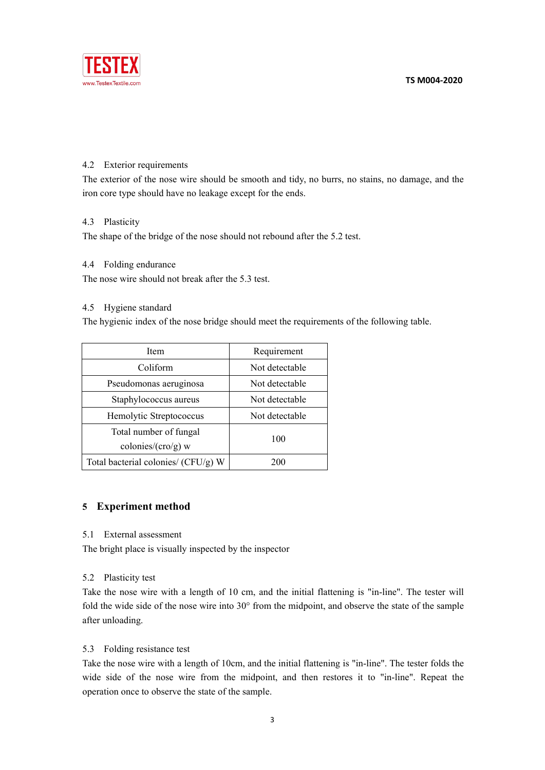

#### 4.2 Exterior requirements

The exterior of the nose wire should be smooth and tidy, no burrs, no stains, no damage, and the iron core type should have no leakage except for the ends.

#### 4.3 Plasticity

The shape of the bridge of the nose should not rebound after the 5.2 test.

#### 4.4 Folding endurance

The nose wire should not break after the 5.3 test.

#### 4.5 Hygiene standard

The hygienic index of the nose bridge should meet the requirements of the following table.

| Item                                | Requirement    |  |
|-------------------------------------|----------------|--|
| Coliform                            | Not detectable |  |
| Pseudomonas aeruginosa              | Not detectable |  |
| Staphylococcus aureus               | Not detectable |  |
| Hemolytic Streptococcus             | Not detectable |  |
| Total number of fungal              | 100            |  |
| colonies/ $(cro/g)$ w               |                |  |
| Total bacterial colonies/ (CFU/g) W | 200            |  |

#### **5 Experiment method**

5.1 External assessment

The bright place is visually inspected by the inspector

#### 5.2 Plasticity test

Take the nose wire with a length of 10 cm, and the initial flattening is "in-line". The tester will fold the wide side of the nose wire into 30° from the midpoint, and observe the state of the sample after unloading.

#### 5.3 Folding resistance test

Take the nose wire with a length of 10cm, and the initial flattening is "in-line". The tester folds the wide side of the nose wire from the midpoint, and then restores it to "in-line". Repeat the operation once to observe the state of the sample.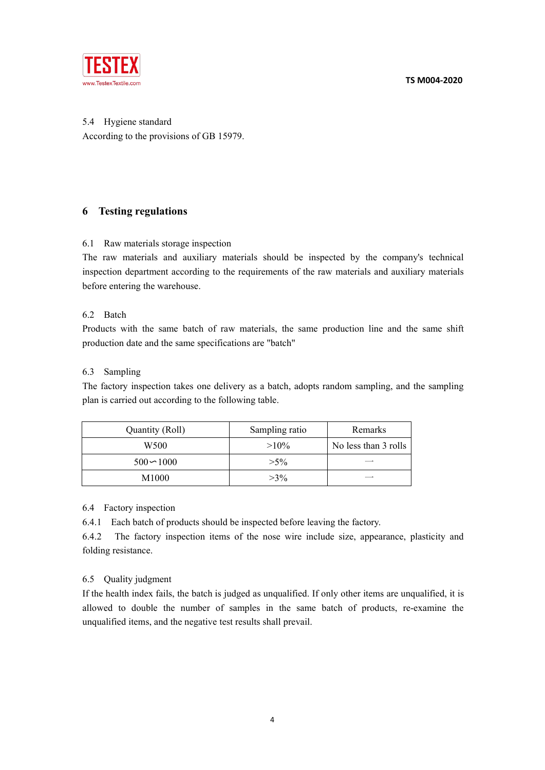**TS M004-2020**



5.4 Hygiene standard According to the provisions of GB 15979.

# **6 Testing regulations**

#### 6.1 Raw materials storage inspection

The raw materials and auxiliary materials should be inspected by the company's technical inspection department according to the requirements of the raw materials and auxiliary materials before entering the warehouse.

#### 6.2 Batch

Products with the same batch of raw materials, the same production line and the same shift production date and the same specifications are "batch"

#### 6.3 Sampling

The factory inspection takes one delivery as a batch, adopts random sampling, and the sampling plan is carried out according to the following table.

| Quantity (Roll) | Sampling ratio | Remarks              |
|-----------------|----------------|----------------------|
| W500            | $>10\%$        | No less than 3 rolls |
| $500 - 1000$    | $>5\%$         |                      |
| M1000           | $>3\%$         | __                   |

#### 6.4 Factory inspection

6.4.1 Each batch of products should be inspected before leaving the factory.6.4.2 The factory inspection items of the nose wire include size, appearance, plasticity and folding resistance.

## 6.5 Quality judgment

If the health index fails, the batch is judged as unqualified. If only other items are unqualified, it is allowed to double the number of samples in the same batch of products, re-examine the unqualified items, and the negative test results shall prevail.